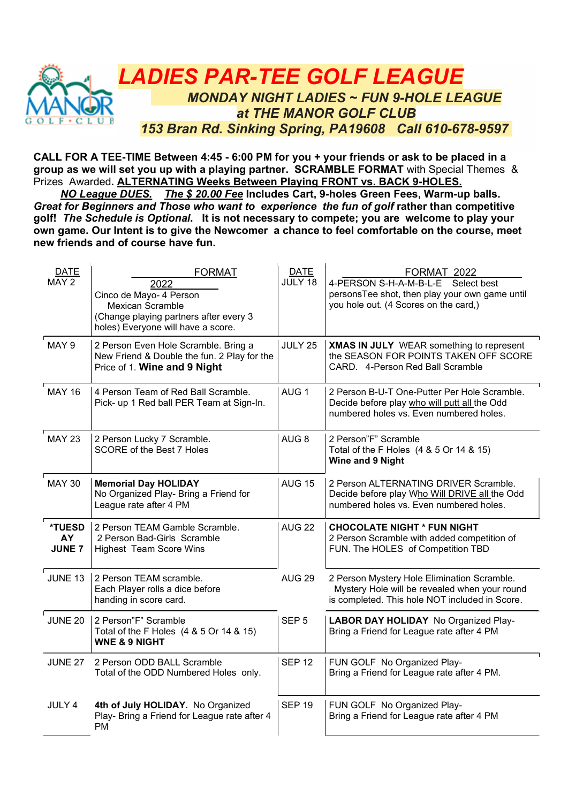

CALL FOR A TEE-TIME Between 4:45 - 6:00 PM for you + your friends or ask to be placed in a group as we will set you up with a playing partner. SCRAMBLE FORMAT with Special Themes & Prizes Awarded. ALTERNATING Weeks Between Playing FRONT vs. BACK 9-HOLES.

 NO League DUES. The \$ 20.00 Fee Includes Cart, 9-holes Green Fees, Warm-up balls. Great for Beginners and Those who want to experience the fun of golf rather than competitive golf! The Schedule is Optional. It is not necessary to compete; you are welcome to play your own game. Our Intent is to give the Newcomer a chance to feel comfortable on the course, meet new friends and of course have fun.

| <b>DATE</b><br>MAY 2          | <b>FORMAT</b><br>2022<br>Cinco de Mayo- 4 Person<br><b>Mexican Scramble</b><br>(Change playing partners after every 3<br>holes) Everyone will have a score. | <b>DATE</b><br>JULY 18 | FORMAT 2022<br>4-PERSON S-H-A-M-B-L-E Select best<br>personsTee shot, then play your own game until<br>you hole out. (4 Scores on the card,)   |
|-------------------------------|-------------------------------------------------------------------------------------------------------------------------------------------------------------|------------------------|------------------------------------------------------------------------------------------------------------------------------------------------|
| MAY 9                         | 2 Person Even Hole Scramble. Bring a<br>New Friend & Double the fun. 2 Play for the<br>Price of 1. Wine and 9 Night                                         | JULY 25                | XMAS IN JULY WEAR something to represent<br>the SEASON FOR POINTS TAKEN OFF SCORE<br>CARD. 4-Person Red Ball Scramble                          |
| <b>MAY 16</b>                 | 4 Person Team of Red Ball Scramble.<br>Pick- up 1 Red ball PER Team at Sign-In.                                                                             | AUG <sub>1</sub>       | 2 Person B-U-T One-Putter Per Hole Scramble.<br>Decide before play who will putt all the Odd<br>numbered holes vs. Even numbered holes.        |
| <b>MAY 23</b>                 | 2 Person Lucky 7 Scramble.<br>SCORE of the Best 7 Holes                                                                                                     | AUG <sub>8</sub>       | 2 Person"F" Scramble<br>Total of the F Holes (4 & 5 Or 14 & 15)<br>Wine and 9 Night                                                            |
| <b>MAY 30</b>                 | <b>Memorial Day HOLIDAY</b><br>No Organized Play- Bring a Friend for<br>League rate after 4 PM                                                              | <b>AUG 15</b>          | 2 Person ALTERNATING DRIVER Scramble.<br>Decide before play Who Will DRIVE all the Odd<br>numbered holes vs. Even numbered holes.              |
| *TUESD<br>AY<br><b>JUNE 7</b> | 2 Person TEAM Gamble Scramble.<br>2 Person Bad-Girls Scramble<br><b>Highest Team Score Wins</b>                                                             | <b>AUG 22</b>          | <b>CHOCOLATE NIGHT * FUN NIGHT</b><br>2 Person Scramble with added competition of<br>FUN. The HOLES of Competition TBD                         |
| <b>JUNE 13</b>                | 2 Person TEAM scramble.<br>Each Player rolls a dice before<br>handing in score card.                                                                        | <b>AUG 29</b>          | 2 Person Mystery Hole Elimination Scramble.<br>Mystery Hole will be revealed when your round<br>is completed. This hole NOT included in Score. |
| <b>JUNE 20</b>                | 2 Person"F" Scramble<br>Total of the F Holes (4 & 5 Or 14 & 15)<br><b>WNE &amp; 9 NIGHT</b>                                                                 | SEP <sub>5</sub>       | <b>LABOR DAY HOLIDAY</b> No Organized Play-<br>Bring a Friend for League rate after 4 PM                                                       |
| <b>JUNE 27</b>                | 2 Person ODD BALL Scramble<br>Total of the ODD Numbered Holes only.                                                                                         | <b>SEP 12</b>          | FUN GOLF No Organized Play-<br>Bring a Friend for League rate after 4 PM.                                                                      |
| JULY 4                        | 4th of July HOLIDAY. No Organized<br>Play- Bring a Friend for League rate after 4<br><b>PM</b>                                                              | <b>SEP 19</b>          | FUN GOLF No Organized Play-<br>Bring a Friend for League rate after 4 PM                                                                       |